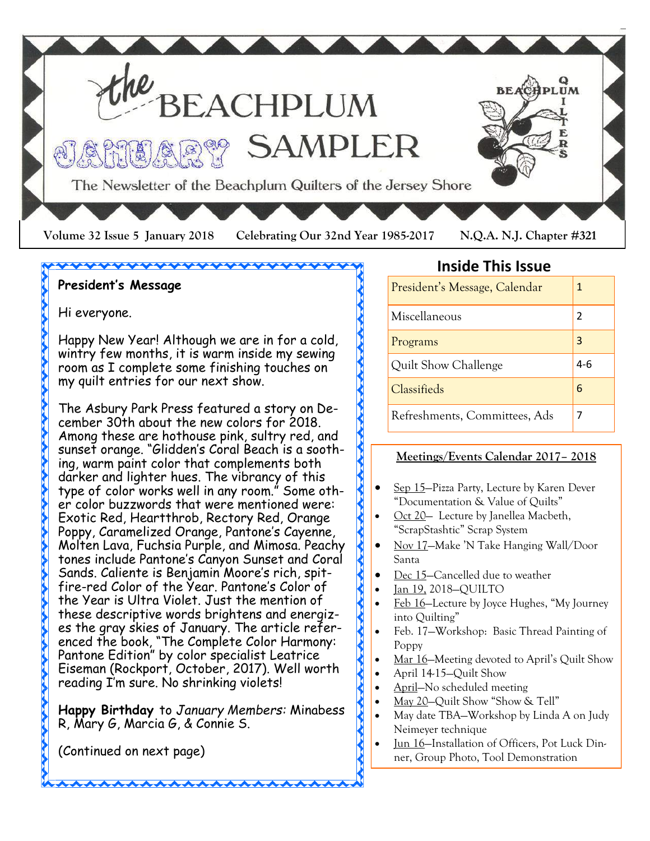

## **President's Message**

#### Hi everyone.

Happy New Year! Although we are in for a cold, wintry few months, it is warm inside my sewing room as I complete some finishing touches on my quilt entries for our next show.

\\\\\\\\\\\\\\\\\\\\\\\\

The Asbury Park Press featured a story on December 30th about the new colors for 2018. Among these are hothouse pink, sultry red, and sunset orange. "Glidden's Coral Beach is a soothing, warm paint color that complements both darker and lighter hues. The vibrancy of this type of color works well in any room." Some other color buzzwords that were mentioned were: Exotic Red, Heartthrob, Rectory Red, Orange Poppy, Caramelized Orange, Pantone's Cayenne, Molten Lava, Fuchsia Purple, and Mimosa. Peachy tones include Pantone's Canyon Sunset and Coral Sands. Caliente is Benjamin Moore's rich, spitfire-red Color of the Year. Pantone's Color of the Year is Ultra Violet. Just the mention of these descriptive words brightens and energizes the gray skies of January. The article referenced the book, "The Complete Color Harmony: Pantone Edition" by color specialist Leatrice Eiseman (Rockport, October, 2017). Well worth reading I'm sure. No shrinking violets!

**Happy Birthday** to *January Members:* Minabess R, Mary G, Marcia G, & Connie S.

**AAAAAAAAAA** 

(Continued on next page)

#### **Inside This Issue**

| President's Message, Calendar | 1   |
|-------------------------------|-----|
| Miscellaneous                 | 2   |
| Programs                      | 3   |
| Quilt Show Challenge          | 4-6 |
| Classifieds                   | 6   |
| Refreshments, Committees, Ads |     |

#### **Meetings/Events Calendar 2017– 2018**

- Sep 15–Pizza Party, Lecture by Karen Dever "Documentation & Value of Quilts"
- Oct 20— Lecture by Janellea Macbeth, "ScrapStashtic" Scrap System
- Nov 17–Make 'N Take Hanging Wall/Door Santa
- Dec 15–Cancelled due to weather
- Jan 19, 2018–QUILTO
- Feb 16—Lecture by Joyce Hughes, "My Journey into Quilting"
- Feb. 17—Workshop: Basic Thread Painting of Poppy
- Mar 16–Meeting devoted to April's Quilt Show
- April 14-15—Quilt Show
- April—No scheduled meeting
- May 20-Quilt Show "Show & Tell"
- May date TBA—Workshop by Linda A on Judy Neimeyer technique
- Iun 16–Installation of Officers, Pot Luck Dinner, Group Photo, Tool Demonstration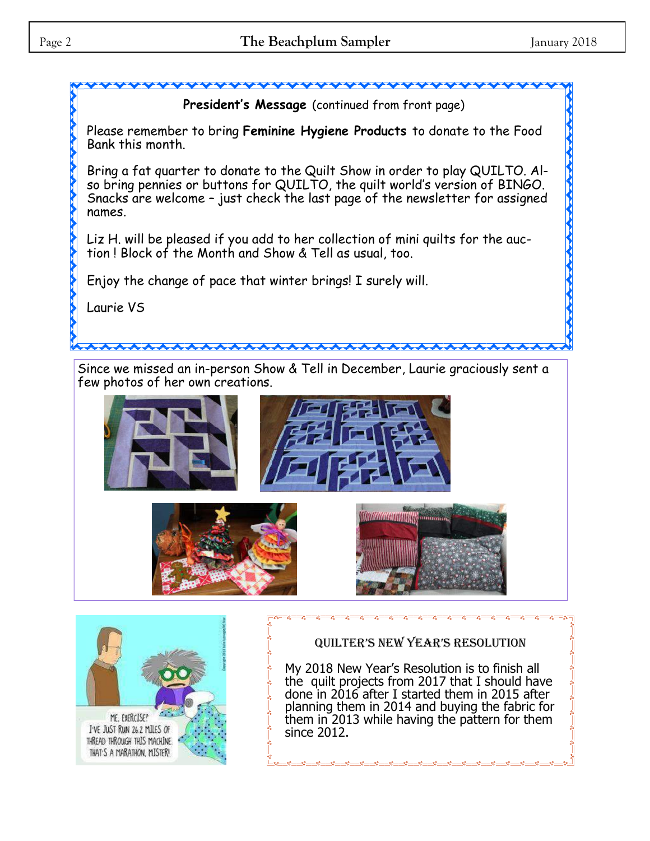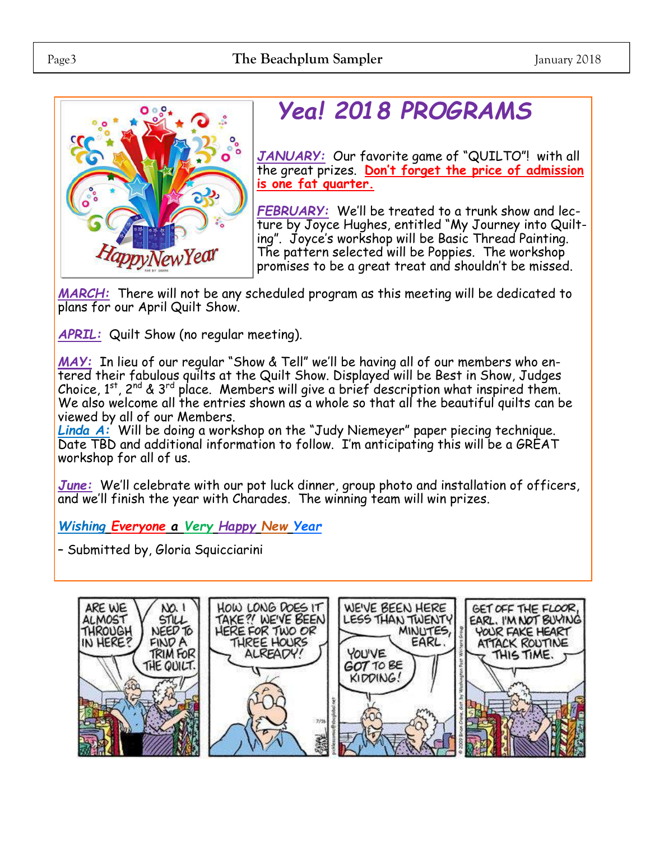

# *Yea! 2018 PROGRAMS*

*JANUARY:* Our favorite game of "QUILTO"! with all the great prizes. **Don't forget the price of admission is one fat quarter.**

*FEBRUARY:* We'll be treated to a trunk show and lecture by Joyce Hughes, entitled "My Journey into Quilting". Joyce's workshop will be Basic Thread Painting. The pattern selected will be Poppies. The workshop promises to be a great treat and shouldn't be missed.

*MARCH:* There will not be any scheduled program as this meeting will be dedicated to plans for our April Quilt Show.

*APRIL:* Quilt Show (no regular meeting).

*MAY:* In lieu of our regular "Show & Tell" we'll be having all of our members who entered their fabulous quilts at the Quilt Show. Displayed will be Best in Show, Judges Choice,  $1^{st}$ ,  $2^{nd}$  &  $3^{rd}$  place. Members will give a brief description what inspired them. We also welcome all the entries shown as a whole so that all the beautiful quilts can be viewed by all of our Members.

*Linda A:* Will be doing a workshop on the "Judy Niemeyer" paper piecing technique. Date TBD and additional information to follow. I'm anticipating this will be a GREAT workshop for all of us.

*June:* We'll celebrate with our pot luck dinner, group photo and installation of officers, and we'll finish the year with Charades. The winning team will win prizes.

*Wishing Everyone a Very Happy New Year*

– Submitted by, Gloria Squicciarini

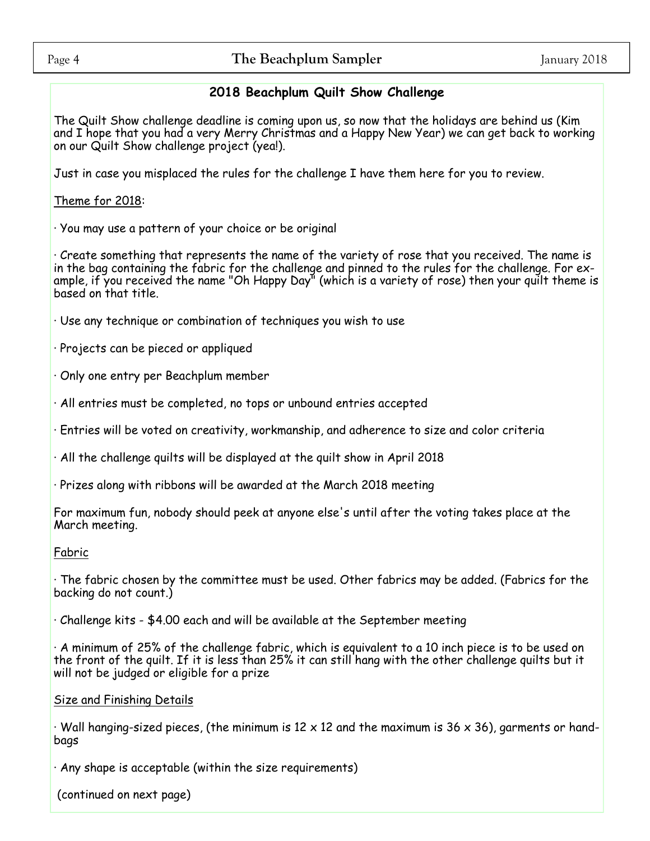### **2018 Beachplum Quilt Show Challenge**

The Quilt Show challenge deadline is coming upon us, so now that the holidays are behind us (Kim and I hope that you had a very Merry Christmas and a Happy New Year) we can get back to working on our Quilt Show challenge project (yea!).

Just in case you misplaced the rules for the challenge I have them here for you to review.

Theme for 2018:

· You may use a pattern of your choice or be original

 $\cdot$  Create something that represents the name of the variety of rose that you received. The name is in the bag containing the fabric for the challenge and pinned to the rules for the challenge. For example, if you received the name "Oh Happy Day" (which is a variety of rose) then your quilt theme is based on that title.

· Use any technique or combination of techniques you wish to use

· Projects can be pieced or appliqued

· Only one entry per Beachplum member

· All entries must be completed, no tops or unbound entries accepted

· Entries will be voted on creativity, workmanship, and adherence to size and color criteria

· All the challenge quilts will be displayed at the quilt show in April 2018

· Prizes along with ribbons will be awarded at the March 2018 meeting

For maximum fun, nobody should peek at anyone else's until after the voting takes place at the March meeting.

#### Fabric

· The fabric chosen by the committee must be used. Other fabrics may be added. (Fabrics for the backing do not count.)

· Challenge kits - \$4.00 each and will be available at the September meeting

 $\cdot$  A minimum of 25% of the challenge fabric, which is equivalent to a 10 inch piece is to be used on the front of the quilt. If it is less than 25% it can still hang with the other challenge quilts but it will not be judged or eligible for a prize

Size and Finishing Details

 $\cdot$  Wall hanging-sized pieces, (the minimum is 12 x 12 and the maximum is 36 x 36), garments or handbags

 $\cdot$  Any shape is acceptable (within the size requirements)

(continued on next page)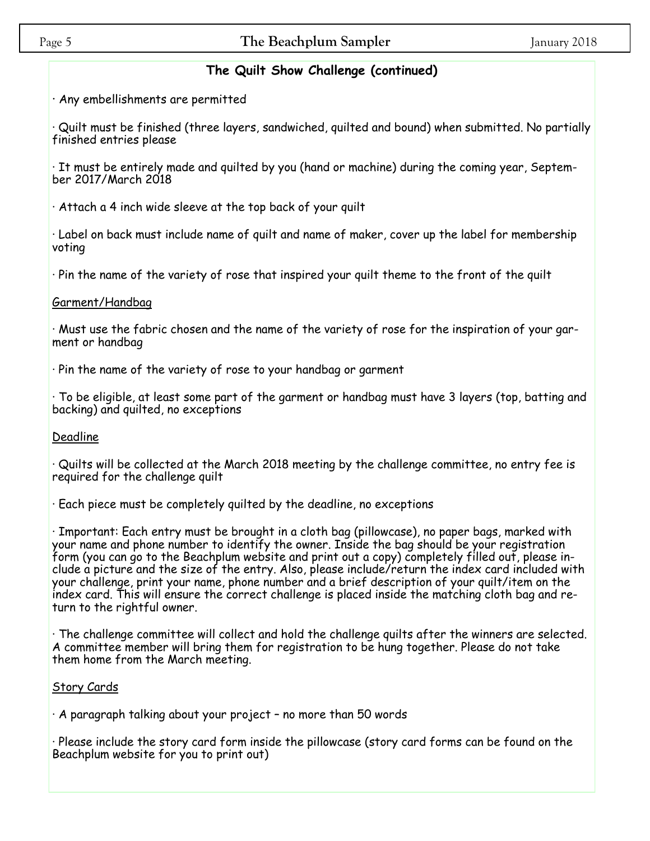#### **The Quilt Show Challenge (continued)**

· Any embellishments are permitted

· Quilt must be finished (three layers, sandwiched, quilted and bound) when submitted. No partially finished entries please

· It must be entirely made and quilted by you (hand or machine) during the coming year, September 2017/March 2018

· Attach a 4 inch wide sleeve at the top back of your quilt

· Label on back must include name of quilt and name of maker, cover up the label for membership voting

· Pin the name of the variety of rose that inspired your quilt theme to the front of the quilt

#### Garment/Handbag

· Must use the fabric chosen and the name of the variety of rose for the inspiration of your garment or handbag

· Pin the name of the variety of rose to your handbag or garment

· To be eligible, at least some part of the garment or handbag must have 3 layers (top, batting and backing) and quilted, no exceptions

#### Deadline

· Quilts will be collected at the March 2018 meeting by the challenge committee, no entry fee is required for the challenge quilt

· Each piece must be completely quilted by the deadline, no exceptions

· Important: Each entry must be brought in a cloth bag (pillowcase), no paper bags, marked with your name and phone number to identify the owner. Inside the bag should be your registration form (you can go to the Beachplum website and print out a copy) completely filled out, please include a picture and the size of the entry. Also, please include/return the index card included with your challenge, print your name, phone number and a brief description of your quilt/item on the index card. This will ensure the correct challenge is placed inside the matching cloth bag and return to the rightful owner.

· The challenge committee will collect and hold the challenge quilts after the winners are selected. A committee member will bring them for registration to be hung together. Please do not take them home from the March meeting.

#### Story Cards

· A paragraph talking about your project – no more than 50 words

· Please include the story card form inside the pillowcase (story card forms can be found on the Beachplum website for you to print out)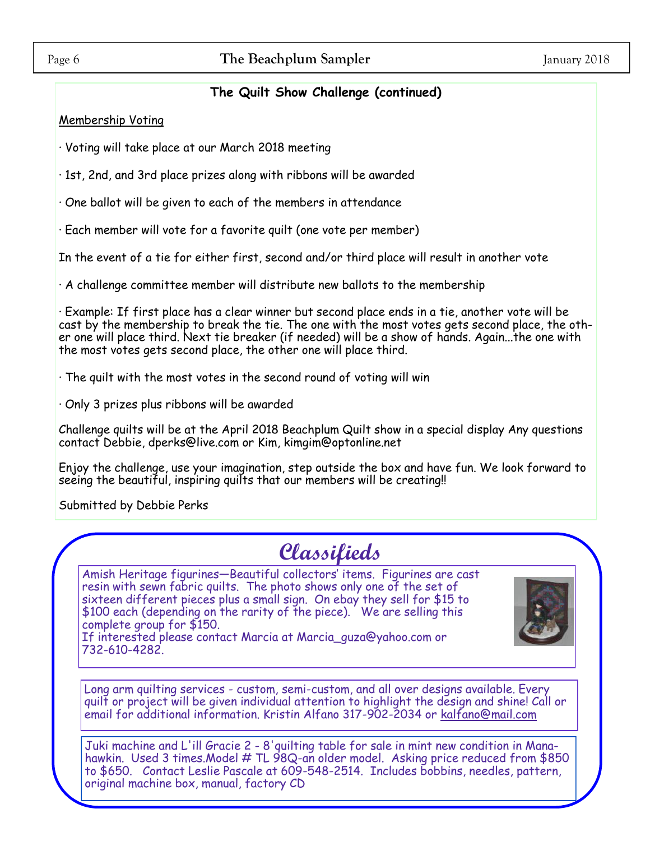### **The Quilt Show Challenge (continued)**

#### Membership Voting

· Voting will take place at our March 2018 meeting

· 1st, 2nd, and 3rd place prizes along with ribbons will be awarded

· One ballot will be given to each of the members in attendance

· Each member will vote for a favorite quilt (one vote per member)

In the event of a tie for either first, second and/or third place will result in another vote

 $\cdot$  A challenge committee member will distribute new ballots to the membership

· Example: If first place has a clear winner but second place ends in a tie, another vote will be cast by the membership to break the tie. The one with the most votes gets second place, the other one will place third. Next tie breaker (if needed) will be a show of hands. Again...the one with the most votes gets second place, the other one will place third.

· The quilt with the most votes in the second round of voting will win

· Only 3 prizes plus ribbons will be awarded

Challenge quilts will be at the April 2018 Beachplum Quilt show in a special display Any questions contact Debbie, dperks@live.com or Kim, kimgim@optonline.net

Enjoy the challenge, use your imagination, step outside the box and have fun. We look forward to seeing the beautiful, inspiring quilts that our members will be creating!!

Submitted by Debbie Perks

# **Classifieds**

Amish Heritage figurines—Beautiful collectors' items. Figurines are cast resin with sewn fabric quilts. The photo shows only one of the set of sixteen different pieces plus a small sign. On ebay they sell for \$15 to \$100 each (depending on the rarity of the piece). We are selling this complete group for \$150.



If interested please contact Marcia at Marcia\_guza@yahoo.com or 732-610-4282.

Long arm quilting services - custom, semi-custom, and all over designs available. Every quilt or project will be given individual attention to highlight the design and shine! Call or email for additional information. Kristin Alfano 317-902-2034 or [kalfano@mail.com](mailto:kalfano@mail.com)

Juki machine and L'ill Gracie 2 - 8'quilting table for sale in mint new condition in Manahawkin. Used 3 times.Model # TL 98Q-an older model. Asking price reduced from \$850 to \$650. Contact Leslie Pascale at 609-548-2514. Includes bobbins, needles, pattern, original machine box, manual, factory CD